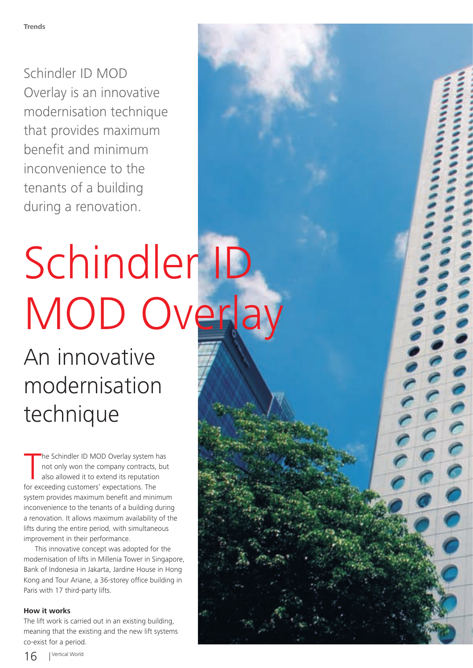Schindler ID MOD Overlay is an innovative modernisation technique that provides maximum benefit and minimum inconvenience to the tenants of a building during a renovation.

## Schindler ID MOD Overlay

An innovative modernisation technique

The Schindler ID MOD Overlay system hot only won the company contracts, also allowed it to extend its reputation for exceeding customers' expectations. The he Schindler ID MOD Overlay system has not only won the company contracts, but also allowed it to extend its reputation system provides maximum benefit and minimum inconvenience to the tenants of a building during a renovation. It allows maximum availability of the lifts during the entire period, with simultaneous improvement in their performance.

This innovative concept was adopted for the modernisation of lifts in Millenia Tower in Singapore, Bank of Indonesia in Jakarta, Jardine House in Hong Kong and Tour Ariane, a 36-storey office building in Paris with 17 third-party lifts.

## **How it works**

The lift work is carried out in an existing building, meaning that the existing and the new lift systems co-exist for a period.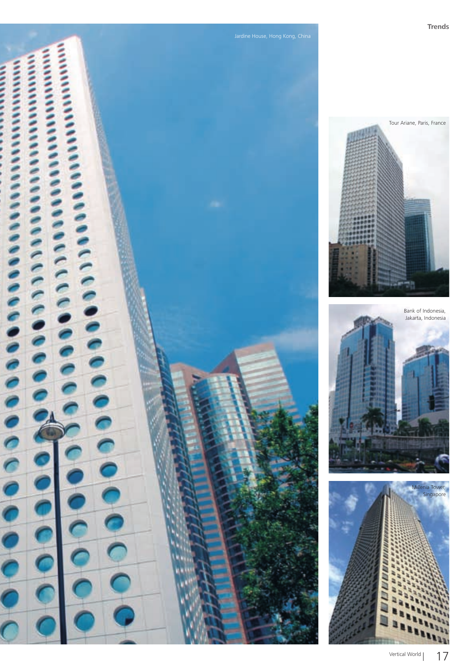

Tour Ariane, Paris, France

Bank of Indonesia, Jakarta, Indonesia

> Millenia Tower, Singapore